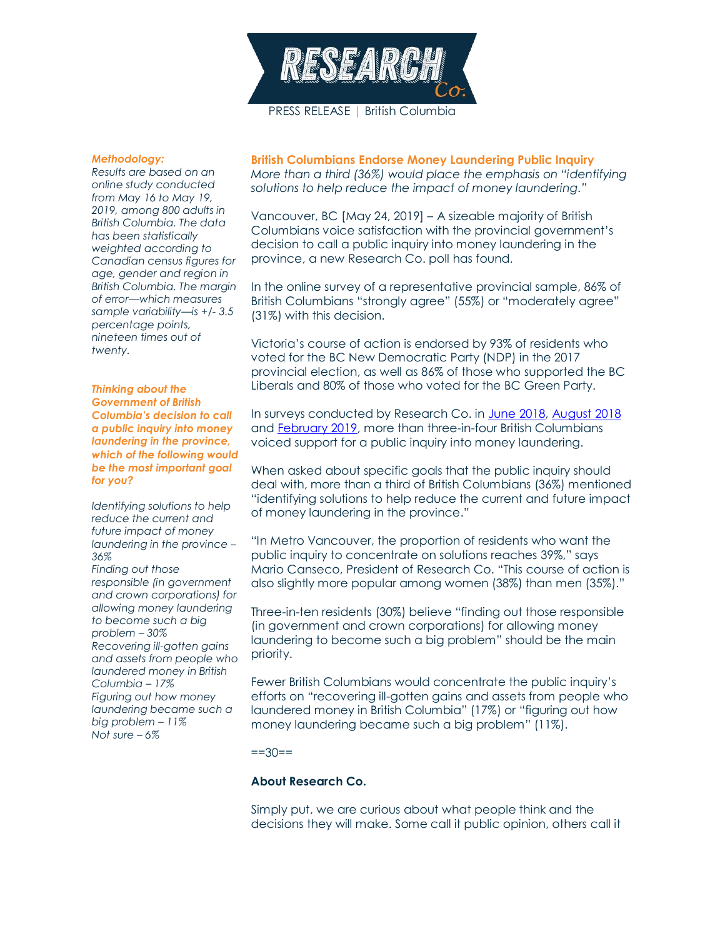

## *Methodology:*

*Results are based on an online study conducted from May 16 to May 19, 2019, among 800 adults in British Columbia. The data has been statistically weighted according to Canadian census figures for age, gender and region in British Columbia. The margin of error—which measures sample variability—is +/- 3.5 percentage points, nineteen times out of twenty.*

*Thinking about the Government of British Columbia's decision to call a public inquiry into money laundering in the province, which of the following would be the most important goal for you?*

*Identifying solutions to help reduce the current and future impact of money laundering in the province – 36% Finding out those responsible (in government and crown corporations) for allowing money laundering to become such a big problem – 30% Recovering ill-gotten gains and assets from people who laundered money in British Columbia – 17% Figuring out how money laundering became such a big problem – 11% Not sure – 6%*

**British Columbians Endorse Money Laundering Public Inquiry** *More than a third (36%) would place the emphasis on "identifying solutions to help reduce the impact of money laundering."*

Vancouver, BC [May 24, 2019] – A sizeable majority of British Columbians voice satisfaction with the provincial government's decision to call a public inquiry into money laundering in the province, a new Research Co. poll has found.

In the online survey of a representative provincial sample, 86% of British Columbians "strongly agree" (55%) or "moderately agree" (31%) with this decision.

Victoria's course of action is endorsed by 93% of residents who voted for the BC New Democratic Party (NDP) in the 2017 provincial election, as well as 86% of those who supported the BC Liberals and 80% of those who voted for the BC Green Party.

In surveys conducted by Research Co. in [June 2018,](https://researchco.ca/2018/06/20/casinos-money-laundering/) [August 2018](https://researchco.ca/2018/08/23/casinos-august2018/) and [February 2019,](https://www.bcgeu.ca/new_poll_shows_overwhelming_support_for_a_public_inquiry) more than three-in-four British Columbians voiced support for a public inquiry into money laundering.

When asked about specific goals that the public inquiry should deal with, more than a third of British Columbians (36%) mentioned "identifying solutions to help reduce the current and future impact of money laundering in the province."

"In Metro Vancouver, the proportion of residents who want the public inquiry to concentrate on solutions reaches 39%," says Mario Canseco, President of Research Co. "This course of action is also slightly more popular among women (38%) than men (35%)."

Three-in-ten residents (30%) believe "finding out those responsible (in government and crown corporations) for allowing money laundering to become such a big problem" should be the main priority.

Fewer British Columbians would concentrate the public inquiry's efforts on "recovering ill-gotten gains and assets from people who laundered money in British Columbia" (17%) or "figuring out how money laundering became such a big problem" (11%).

 $==30==$ 

## **About Research Co.**

Simply put, we are curious about what people think and the decisions they will make. Some call it public opinion, others call it